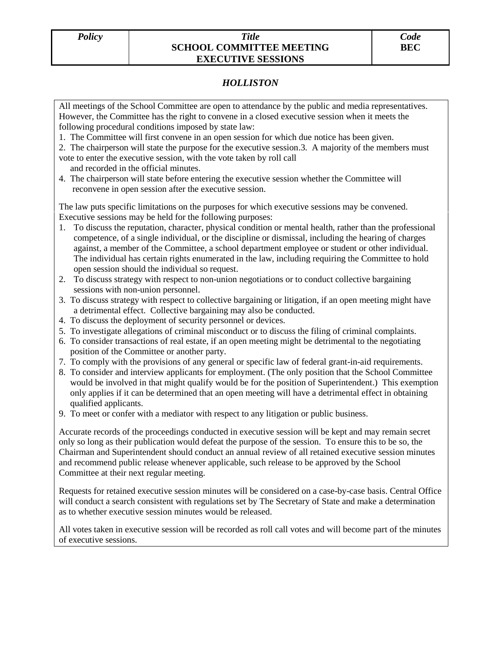## *Policy Title* **SCHOOL COMMITTEE MEETING EXECUTIVE SESSIONS**

## *HOLLISTON*

All meetings of the School Committee are open to attendance by the public and media representatives. However, the Committee has the right to convene in a closed executive session when it meets the following procedural conditions imposed by state law:

1. The Committee will first convene in an open session for which due notice has been given.

2. The chairperson will state the purpose for the executive session.3. A majority of the members must vote to enter the executive session, with the vote taken by roll call

- and recorded in the official minutes.
- 4. The chairperson will state before entering the executive session whether the Committee will reconvene in open session after the executive session.

The law puts specific limitations on the purposes for which executive sessions may be convened. Executive sessions may be held for the following purposes:

- 1. To discuss the reputation, character, physical condition or mental health, rather than the professional competence, of a single individual, or the discipline or dismissal, including the hearing of charges against, a member of the Committee, a school department employee or student or other individual. The individual has certain rights enumerated in the law, including requiring the Committee to hold open session should the individual so request.
- 2. To discuss strategy with respect to non-union negotiations or to conduct collective bargaining sessions with non-union personnel.
- 3. To discuss strategy with respect to collective bargaining or litigation, if an open meeting might have a detrimental effect. Collective bargaining may also be conducted.
- 4. To discuss the deployment of security personnel or devices.
- 5. To investigate allegations of criminal misconduct or to discuss the filing of criminal complaints.
- 6. To consider transactions of real estate, if an open meeting might be detrimental to the negotiating position of the Committee or another party.
- 7. To comply with the provisions of any general or specific law of federal grant-in-aid requirements.
- 8. To consider and interview applicants for employment. (The only position that the School Committee would be involved in that might qualify would be for the position of Superintendent.) This exemption only applies if it can be determined that an open meeting will have a detrimental effect in obtaining qualified applicants.
- 9. To meet or confer with a mediator with respect to any litigation or public business.

Accurate records of the proceedings conducted in executive session will be kept and may remain secret only so long as their publication would defeat the purpose of the session. To ensure this to be so, the Chairman and Superintendent should conduct an annual review of all retained executive session minutes and recommend public release whenever applicable, such release to be approved by the School Committee at their next regular meeting.

Requests for retained executive session minutes will be considered on a case-by-case basis. Central Office will conduct a search consistent with regulations set by The Secretary of State and make a determination as to whether executive session minutes would be released.

All votes taken in executive session will be recorded as roll call votes and will become part of the minutes of executive sessions.